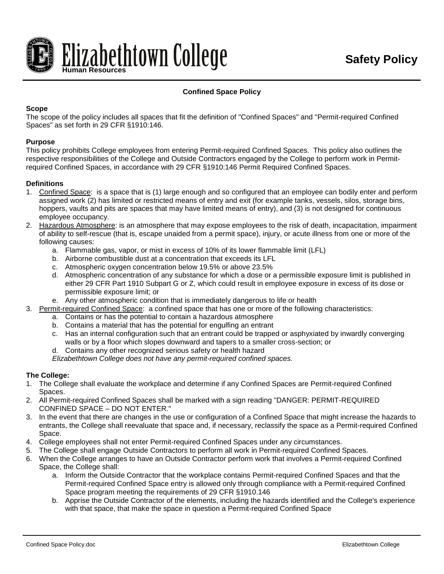

# **Confined Space Policy**

## **Scope**

The scope of the policy includes all spaces that fit the definition of "Confined Spaces" and "Permit-required Confined Spaces" as set forth in 29 CFR §1910:146.

#### **Purpose**

This policy prohibits College employees from entering Permit-required Confined Spaces. This policy also outlines the respective responsibilities of the College and Outside Contractors engaged by the College to perform work in Permitrequired Confined Spaces, in accordance with 29 CFR §1910:146 Permit Required Confined Spaces.

## **Definitions**

- 1. Confined Space: is a space that is (1) large enough and so configured that an employee can bodily enter and perform assigned work (2) has limited or restricted means of entry and exit (for example tanks, vessels, silos, storage bins, hoppers, vaults and pits are spaces that may have limited means of entry), and (3) is not designed for continuous employee occupancy.
- 2. Hazardous Atmosphere: is an atmosphere that may expose employees to the risk of death, incapacitation, impairment of ability to self-rescue (that is, escape unaided from a permit space), injury, or acute illness from one or more of the following causes:
	- a. Flammable gas, vapor, or mist in excess of 10% of its lower flammable limit (LFL)
	- b. Airborne combustible dust at a concentration that exceeds its LFL
	- c. Atmospheric oxygen concentration below 19.5% or above 23.5%
	- d. Atmospheric concentration of any substance for which a dose or a permissible exposure limit is published in either 29 CFR Part 1910 Subpart G or Z, which could result in employee exposure in excess of its dose or permissible exposure limit; or
	- e. Any other atmospheric condition that is immediately dangerous to life or health
- 3. Permit-required Confined Space: a confined space that has one or more of the following characteristics:
	- a. Contains or has the potential to contain a hazardous atmosphere
	- b. Contains a material that has the potential for engulfing an entrant
	- c. Has an internal configuration such that an entrant could be trapped or asphyxiated by inwardly converging walls or by a floor which slopes downward and tapers to a smaller cross-section; or
	- d. Contains any other recognized serious safety or health hazard

*Elizabethtown College does not have any permit-required confined spaces.*

# **The College:**

- 1. The College shall evaluate the workplace and determine if any Confined Spaces are Permit-required Confined Spaces.
- 2. All Permit-required Confined Spaces shall be marked with a sign reading "DANGER: PERMIT-REQUIRED CONFINED SPACE – DO NOT ENTER."
- 3. In the event that there are changes in the use or configuration of a Confined Space that might increase the hazards to entrants, the College shall reevaluate that space and, if necessary, reclassify the space as a Permit-required Confined Space.
- 4. College employees shall not enter Permit-required Confined Spaces under any circumstances.
- 5. The College shall engage Outside Contractors to perform all work in Permit-required Confined Spaces.
- 6. When the College arranges to have an Outside Contractor perform work that involves a Permit-required Confined Space, the College shall:
	- a. Inform the Outside Contractor that the workplace contains Permit-required Confined Spaces and that the Permit-required Confined Space entry is allowed only through compliance with a Permit-required Confined Space program meeting the requirements of 29 CFR §1910.146
	- b. Apprise the Outside Contractor of the elements, including the hazards identified and the College's experience with that space, that make the space in question a Permit-required Confined Space